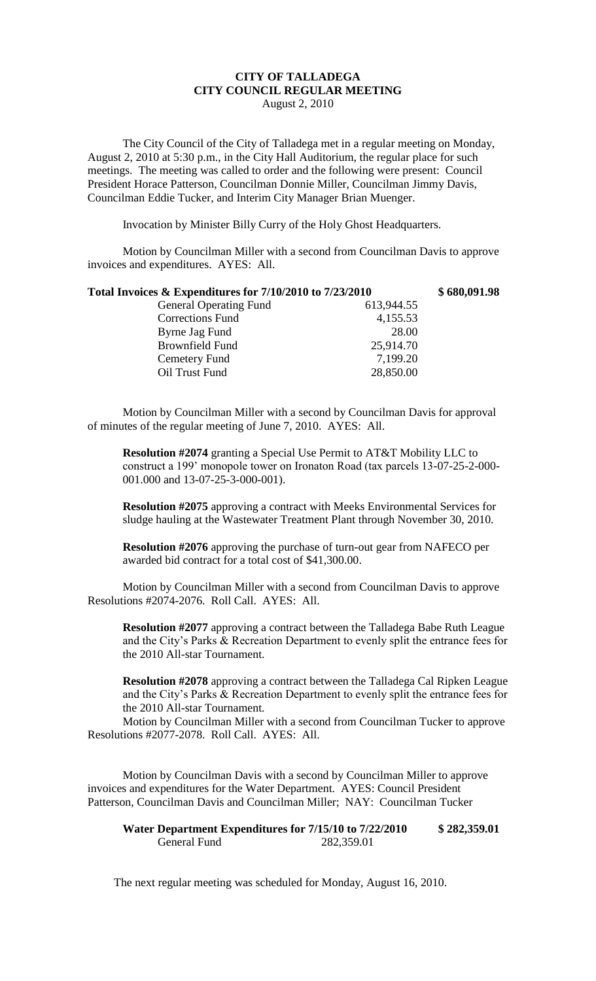## **CITY OF TALLADEGA CITY COUNCIL REGULAR MEETING** August 2, 2010

The City Council of the City of Talladega met in a regular meeting on Monday, August 2, 2010 at 5:30 p.m., in the City Hall Auditorium, the regular place for such meetings. The meeting was called to order and the following were present: Council President Horace Patterson, Councilman Donnie Miller, Councilman Jimmy Davis, Councilman Eddie Tucker, and Interim City Manager Brian Muenger.

Invocation by Minister Billy Curry of the Holy Ghost Headquarters.

Motion by Councilman Miller with a second from Councilman Davis to approve invoices and expenditures. AYES: All.

| Total Invoices & Expenditures for 7/10/2010 to 7/23/2010 |            | \$680,091.98 |
|----------------------------------------------------------|------------|--------------|
| <b>General Operating Fund</b>                            | 613,944.55 |              |
| Corrections Fund                                         | 4,155.53   |              |
| Byrne Jag Fund                                           | 28.00      |              |
| <b>Brownfield Fund</b>                                   | 25,914.70  |              |
| Cemetery Fund                                            | 7,199.20   |              |
| Oil Trust Fund                                           | 28,850.00  |              |

Motion by Councilman Miller with a second by Councilman Davis for approval of minutes of the regular meeting of June 7, 2010. AYES: All.

**Resolution #2074** granting a Special Use Permit to AT&T Mobility LLC to construct a 199' monopole tower on Ironaton Road (tax parcels 13-07-25-2-000- 001.000 and 13-07-25-3-000-001).

**Resolution #2075** approving a contract with Meeks Environmental Services for sludge hauling at the Wastewater Treatment Plant through November 30, 2010.

**Resolution #2076** approving the purchase of turn-out gear from NAFECO per awarded bid contract for a total cost of \$41,300.00.

Motion by Councilman Miller with a second from Councilman Davis to approve Resolutions #2074-2076. Roll Call. AYES: All.

**Resolution #2077** approving a contract between the Talladega Babe Ruth League and the City's Parks & Recreation Department to evenly split the entrance fees for the 2010 All-star Tournament.

**Resolution #2078** approving a contract between the Talladega Cal Ripken League and the City's Parks & Recreation Department to evenly split the entrance fees for the 2010 All-star Tournament.

Motion by Councilman Miller with a second from Councilman Tucker to approve Resolutions #2077-2078. Roll Call. AYES: All.

Motion by Councilman Davis with a second by Councilman Miller to approve invoices and expenditures for the Water Department. AYES: Council President Patterson, Councilman Davis and Councilman Miller; NAY: Councilman Tucker

**Water Department Expenditures for 7/15/10 to 7/22/2010 \$ 282,359.01** General Fund 282,359.01

The next regular meeting was scheduled for Monday, August 16, 2010.